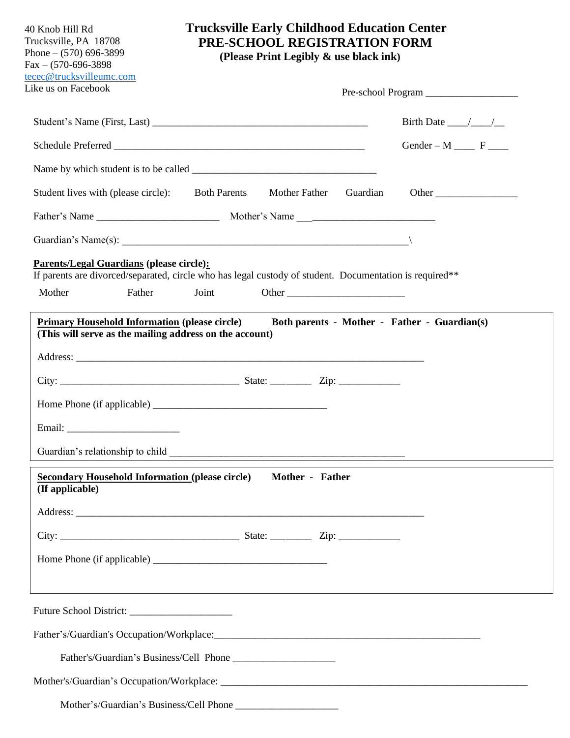| 40 Knob Hill Rd<br>Trucksville, PA 18708<br>Phone $- (570) 696 - 3899$<br>$Fax - (570-696-3898)$<br>tecec@trucksvilleumc.com | <b>Trucksville Early Childhood Education Center</b><br>PRE-SCHOOL REGISTRATION FORM<br>(Please Print Legibly & use black ink) |                                          |  |
|------------------------------------------------------------------------------------------------------------------------------|-------------------------------------------------------------------------------------------------------------------------------|------------------------------------------|--|
| Like us on Facebook                                                                                                          |                                                                                                                               |                                          |  |
|                                                                                                                              |                                                                                                                               | Birth Date $\_\_\_\_\_\_\_\_\_\_\_\_\_\$ |  |
|                                                                                                                              |                                                                                                                               | $Gender - M$ F                           |  |
|                                                                                                                              |                                                                                                                               |                                          |  |
| Student lives with (please circle): Both Parents                                                                             | Mother Father<br>Guardian                                                                                                     | Other                                    |  |
|                                                                                                                              |                                                                                                                               |                                          |  |
|                                                                                                                              | Guardian's Name(s): $\qquad \qquad \qquad$                                                                                    |                                          |  |
| <b>Parents/Legal Guardians (please circle):</b>                                                                              | If parents are divorced/separated, circle who has legal custody of student. Documentation is required**                       |                                          |  |
| Mother<br>Father                                                                                                             | Joint                                                                                                                         |                                          |  |
|                                                                                                                              |                                                                                                                               |                                          |  |
| <b>Secondary Household Information (please circle)</b><br>(If applicable)                                                    | Mother - Father                                                                                                               |                                          |  |
|                                                                                                                              |                                                                                                                               |                                          |  |
|                                                                                                                              |                                                                                                                               |                                          |  |
|                                                                                                                              |                                                                                                                               |                                          |  |
|                                                                                                                              |                                                                                                                               |                                          |  |
|                                                                                                                              |                                                                                                                               |                                          |  |
|                                                                                                                              |                                                                                                                               |                                          |  |
|                                                                                                                              |                                                                                                                               |                                          |  |
|                                                                                                                              |                                                                                                                               |                                          |  |